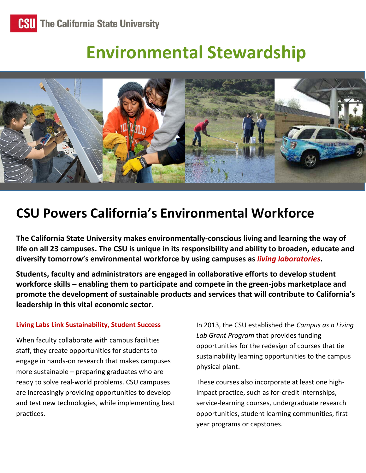

# **Environmental Stewardship**



# **CSU Powers California's Environmental Workforce**

**The California State University makes environmentally-conscious living and learning the way of life on all 23 campuses. The CSU is unique in its responsibility and ability to broaden, educate and diversify tomorrow's environmental workforce by using campuses as** *living laboratories***.**

**Students, faculty and administrators are engaged in collaborative efforts to develop student workforce skills – enabling them to participate and compete in the green-jobs marketplace and promote the development of sustainable products and services that will contribute to California's leadership in this vital economic sector.**

## **Living Labs Link Sustainability, Student Success**

When faculty collaborate with campus facilities staff, they create opportunities for students to engage in hands-on research that makes campuses more sustainable – preparing graduates who are ready to solve real-world problems. CSU campuses are increasingly providing opportunities to develop and test new technologies, while implementing best practices.

In 2013, the CSU established the *Campus as a Living Lab Grant Program* that provides funding opportunities for the redesign of courses that tie sustainability learning opportunities to the campus physical plant.

These courses also incorporate at least one highimpact practice, such as for-credit internships, service-learning courses, undergraduate research opportunities, student learning communities, firstyear programs or capstones.